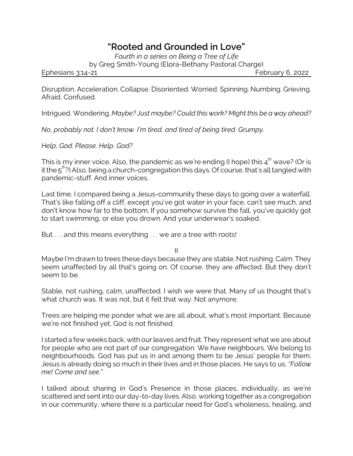## *"Rooted and Grounded in Love"*

*Fourth in a series on Being a Tree of Life*

by Greg Smith-Young (Elora-Bethany Pastoral Charge)

Ephesians 3:14-21 **February 6, 2022** 

Disruption. Acceleration. Collapse. Disoriented. Worried. Spinning. Numbing. Grieving. Afraid. Confused.

Intrigued. Wondering. *Maybe? Just maybe? Could this work? Might this be a way ahead?*

*No, probably not. I don't know. I'm tired, and tired of being tired. Grumpy.*

*Help, God. Please. Help. God?*

This is my inner voice. Also, the pandemic as we're ending (I hope) this 4 $^{\rm th}$  wave? (Or is it the 5<sup>th</sup>?) Also, being a church-congregation this days. Of course, that's all tangled with pandemic-stuff. And inner voices.

Last time, I compared being a Jesus-community these days to going over a waterfall. That's like falling off a cliff, except you've got water in your face, can't see much, and don't know how far to the bottom. If you somehow survive the fall, you've quickly got to start swimming, or else you drown. And your underwear's soaked.

But . . . and this means everything . . . we are a tree with roots!

II

Maybe I'm drawn to trees these days because they are stable. Not rushing. Calm. They seem unaffected by all that's going on. Of course, they are affected. But they don't seem to be.

Stable, not rushing, calm, unaffected. I wish we were that. Many of us thought that's what church was. It was not, but it felt that way. Not anymore.

Trees are helping me ponder what we are all about, what's most important. Because we're not finished yet. God is not finished.

I started a few weeks back, with our leaves and fruit. They represent what we are about for people who are not part of our congregation. We have neighbours. We belong to neighbourhoods. God has put us in and among them to be Jesus' people for them. Jesus is already doing so much in their lives and in those places. He says to us, *"Follow me! Come and see."*

I talked about sharing in God's Presence in those places, individually, as we're scattered and sent into our day-to-day lives. Also, working together as a congregation in our community, where there is a particular need for God's wholeness, healing, and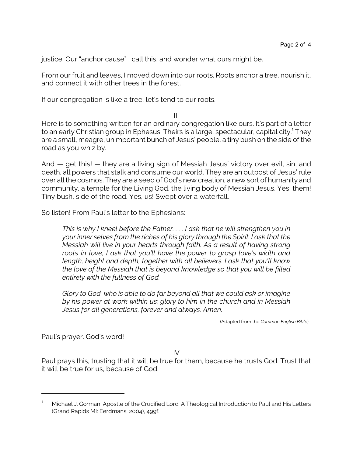justice. Our "anchor cause" I call this, and wonder what ours might be.

From our fruit and leaves, I moved down into our roots. Roots anchor a tree, nourish it, and connect it with other trees in the forest.

If our congregation is like a tree, let's tend to our roots.

III

Here is to something written for an ordinary congregation like ours. It's part of a letter to an early Christian group in Ephesus. Theirs is a large, spectacular, capital city. 1 They are a small, meagre, unimportant bunch of Jesus' people, a tiny bush on the side of the road as you whiz by.

And — get this! — they are a living sign of Messiah Jesus' victory over evil, sin, and death, all powers that stalk and consume our world. They are an outpost of Jesus' rule over all the cosmos. They are a seed of God's new creation, a new sort of humanity and community, a temple for the Living God, the living body of Messiah Jesus. Yes, them! Tiny bush, side of the road. Yes, us! Swept over a waterfall.

So listen! From Paul's letter to the Ephesians:

*This is why I kneel before the Father. . . . I ask that he will strengthen you in your inner selves from the riches of his glory through the Spirit. I ask that the Messiah will live in your hearts through faith. As a result of having strong roots in love, I ask that you'll have the power to grasp love's width and length, height and depth, together with all believers. I ask that you'll know the love of the Messiah that is beyond knowledge so that you will be filled entirely with the fullness of God.*

*Glory to God, who is able to do far beyond all that we could ask or imagine by his power at work within us; glory to him in the church and in Messiah Jesus for all generations, forever and always. Amen.*

(Adapted from the *Common English Bible*)

Paul's prayer. God's word!

IV

Paul prays this, trusting that it will be true for them, because he trusts God. Trust that it will be true for us, because of God.

<sup>&</sup>lt;sup>1</sup> Michael J. Gorman, Apostle of the Crucified Lord: A Theological Introduction to Paul and His Letters (Grand Rapids MI: Eerdmans, 2004), 499f.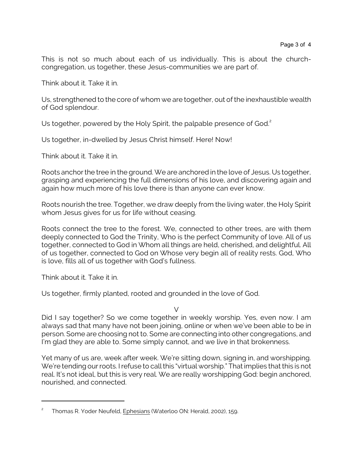This is not so much about each of us individually. This is about the churchcongregation, us together, these Jesus-communities we are part of.

Think about it. Take it in.

Us, strengthened to the core of whom we are together, out of the inexhaustible wealth of God splendour.

Us together, powered by the Holy Spirit, the palpable presence of God.<sup>2</sup>

Us together, in-dwelled by Jesus Christ himself. Here! Now!

Think about it. Take it in.

Roots anchor the tree in the ground. We are anchored in the love of Jesus. Us together, grasping and experiencing the full dimensions of his love, and discovering again and again how much more of his love there is than anyone can ever know.

Roots nourish the tree. Together, we draw deeply from the living water, the Holy Spirit whom Jesus gives for us for life without ceasing.

Roots connect the tree to the forest. We, connected to other trees, are with them deeply connected to God the Trinity, Who is the perfect Community of love. All of us together, connected to God in Whom all things are held, cherished, and delightful. All of us together, connected to God on Whose very begin all of reality rests. God, Who is love, fills all of us together with God's fullness.

Think about it. Take it in.

Us together, firmly planted, rooted and grounded in the love of God.

V

Did I say together? So we come together in weekly worship. Yes, even now. I am always sad that many have not been joining, online or when we've been able to be in person. Some are choosing not to. Some are connecting into other congregations, and I'm glad they are able to. Some simply cannot, and we live in that brokenness.

Yet many of us are, week after week. We're sitting down, signing in, and worshipping. We're tending our roots. I refuse to call this "virtual worship." That implies that this is not real. It's not ideal, but this is very real. We are really worshipping God: begin anchored, nourished, and connected.

<sup>2</sup> Thomas R. Yoder Neufeld, Ephesians (Waterloo ON: Herald, 2002), 159.